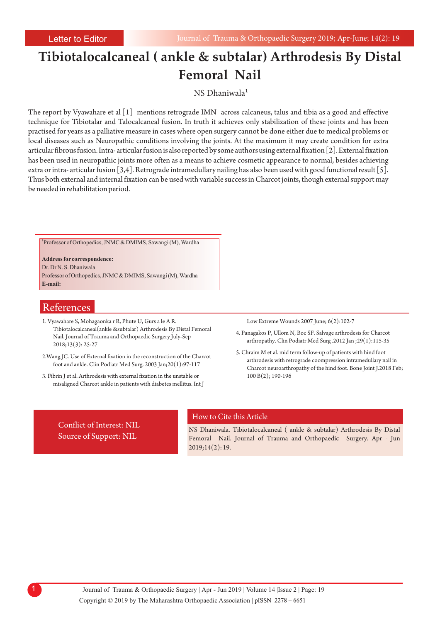# **Tibiotalocalcaneal ( ankle & subtalar) Arthrodesis By Distal Femoral Nail**

NS Dhaniwala

The report by Vyawahare et al  $\lceil 1 \rceil$  mentions retrograde IMN across calcaneus, talus and tibia as a good and effective technique for Tibiotalar and Talocalcaneal fusion. In truth it achieves only stabilization of these joints and has been practised for years as a palliative measure in cases where open surgery cannot be done either due to medical problems or local diseases such as Neuropathic conditions involving the joints. At the maximum it may create condition for extra articular fibrous fusion. Intra- articular fusion is also reported by some authors using external fixation [2]. External fixation has been used in neuropathic joints more often as a means to achieve cosmetic appearance to normal, besides achieving extra or intra- articular fusion [3,4]. Retrograde intramedullary nailing has also been used with good functional result [5]. Thus both external and internal fixation can be used with variable success in Charcot joints, though external support may be needed in rehabilitation period.

1 Professor of Orthopedics, JNMC & DMIMS, Sawangi (M), Wardha

**Address for correspondence:**  Dr. Dr N. S. Dhaniwala Professor of Orthopedics, JNMC & DMIMS, Sawangi (M), Wardha **E-mail:**

## References

- 1. Vyawahare S, Mohagaonka r R, Phute U, Gurs a le A R. Tibiotalocalcaneal(ankle &subtalar) Arthrodesis By Distal Femoral Nail. Journal of Trauma and Orthopaedic Surgery July-Sep 2018;13(3): 25-27
- 2.Wang JC. Use of External fixation in the reconstruction of the Charcot foot and ankle. Clin Podiatr Med Surg. 2003 Jan;20(1):97-117
- 3. Fibrin J et al. Arthrodesis with external fixation in the unstable or misaligned Charcot ankle in patients with diabetes mellitus. Int J

Low Extreme Wounds 2007 June; 6(2):102-7

- 4. Panagakos P, Ullom N, Boc SF. Salvage arthrodesis for Charcot arthropathy. Clin Podiatr Med Surg .2012 Jan ;29(1):115-35
- 5. Chraim M et al. mid term follow-up of patients with hind foot arthrodesis with retrograde coompression intramedullary nail in Charcot neuroarthropathy of the hind foot. Bone Joint J.2018 Feb; 100 B(2); 190-196

Source of Support: NIL Conflict of Interest: NIL

#### How to Cite this Article

NS Dhaniwala. Tibiotalocalcaneal ( ankle & subtalar) Arthrodesis By Distal Femoral Nail. Journal of Trauma and Orthopaedic Surgery. Apr - Jun 2019;14(2): 19.